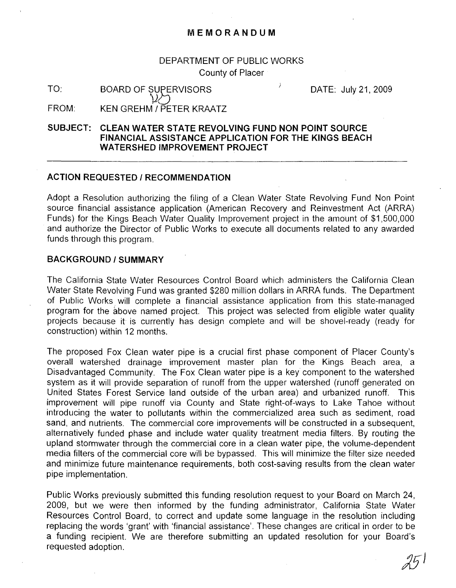# DEPARTMENT OF PUBLIC WORKS County of Placer

TO: BOARD OF SUPERVISORS  $\mathcal{W}$ 

DATE: July 21,2009

FROM: KEN GREHM / PETER KRAATZ

# **SUBJECT: CLEAN WATER STATE REVOLVING FUND NON POINT SOURCE FINANCIAL ASSISTANCE APPLICATION FOR THE KINGS BEACH** WATERSHED IMPROVEMENT PROJECT

#### **ACTION REQUESTED / RECOMMENDATION**

Adopt a Resolution authorizing the filing of a Clean Water State Revolving Fund Non Point source financial assistance application (American Recovery and Reinvestment Act (ARRA) Funds) for the Kings Beach Water Quality Improvement project in the amount of \$1,500,000 and authorize the Director of Public Works to execute all documents related to any awarded funds through this program.

## **BACKGROUND/SUMMARY**

The California State Water Resources Control Board which administers the California Clean Water State Revolving Fund was granted \$280 million dollars in ARRA funds. The Department of Public Works. will complete a financial assistance application from this state-managed program for the above named project. This project was selected from eligible water quality projects because it is currently has design complete and will be shovel-ready (ready· for construction) within 12 months.

The proposed Fox Clean water pipe is a crucial first phase component of Placer County's overall watershed drainage improvement master plan for the Kings Beach area, a Disadvantaged Community. The Fox Clean water pipe is a key component to the watershed system as it will provide separation of runoff from the upper watershed (runoff generated on United States Forest Service land outside of the urban area) and urbanized runoff. This improvement will pipe runoff via County and State right-of-ways to Lake Tahoe without introducing the water to pollutants within the commercialized area such as sediment, road sand, and nutrients. The commercial core improvements will be constructed in a subsequent, alternatively funded phase and include water quality treatment media filters. By routing the upland stormwater through the commercial core in a clean water pipe, the volume-dependent media filters of the commercial core will be bypassed. This will minimize the filter size needed and minimize future maintenance requirements, both cost-saving results from the clean water pipe implementation.

Public Works previously submitted this funding resolution request to your Board on March 24, 2009, but we were then informed by the funding administrator, California State Water Resources Control Board, to correct and update some language in the resolution including replacing the words 'grant' with 'financial assistance'. These changes are critical in order to be a funding recipient. We are therefore submitting an updated resolution for your Board's requested adoption.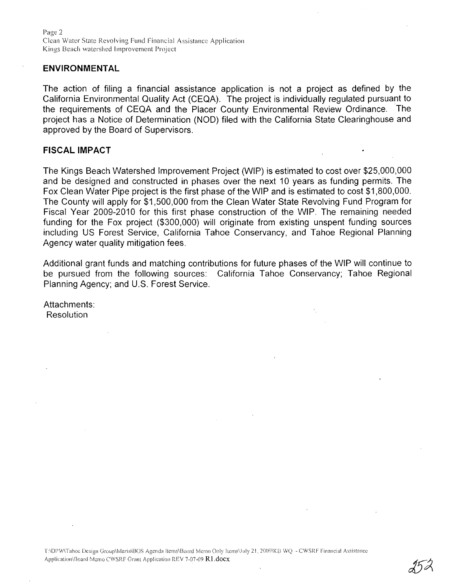Page 2 Clean Water State Revolving Fund Financial Assistance Application Kings Beach watershed Improvement Project

#### **ENVIRONMENTAL**

The action of filing a financial assistance application is not a project as defined by the California Environmental Quality Act (CEQA). The project is individually regulated pursuant to the requirements of CEQA and the Placer County Environmental Review Ordinance. The project has a Notice of Determination (NOD) filed with the California State Clearinghouse and approved by the Board of Supervisors.

## **FISCAL IMPACT**

The Kings Beach Watershed Improvement Project (WIP) is estimated to cost over \$25,000,000 and be designed and constructed in phases over the next 10 years as funding permits. The Fox Clean Water Pipe project is the first phase of the WIP and is estimated to cost \$1,800,000. The County will apply for \$1,500,000 from the Clean Water State Revolving Fund Program for Fiscal Year 2009-2010 for this first phase construction of the WIP. The remaining needed funding for the Fox project (\$300,000) will originate from existing unspent funding sources including US Forest Service, California Tahoe Conservancy, and Tahoe Regional Planning Agency water quality mitigation fees.

Additional grant funds and matching contributions for future phases of the WIP will continue to be pursued from the following sources: California Tahoe Conservancy; Tahoe Regional Planning Agency; and U.S. Forest Service.

Attachments: Resolution

T:IDPWITahoe Design Group/Maria\BOS Agenda Items\Board Memo Only Items\July 21, 2009\KB WQ - CWSRF Financial Assistance Application\Board Memo CWSRF Grant Application REV 7-07-09 R1.docx